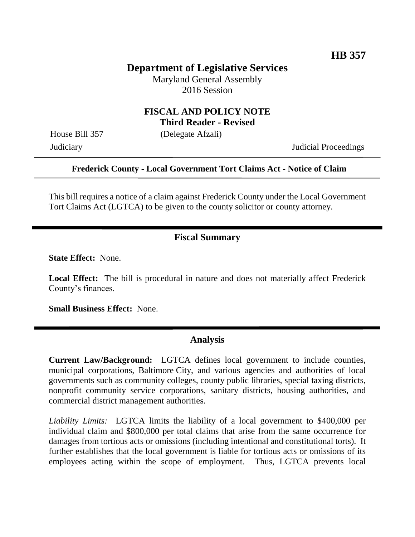## **Department of Legislative Services**

Maryland General Assembly 2016 Session

## **FISCAL AND POLICY NOTE Third Reader - Revised**

House Bill 357 (Delegate Afzali)

Judiciary Judicial Proceedings

### **Frederick County - Local Government Tort Claims Act - Notice of Claim**

This bill requires a notice of a claim against Frederick County under the Local Government Tort Claims Act (LGTCA) to be given to the county solicitor or county attorney.

### **Fiscal Summary**

**State Effect:** None.

**Local Effect:** The bill is procedural in nature and does not materially affect Frederick County's finances.

**Small Business Effect:** None.

#### **Analysis**

**Current Law/Background:** LGTCA defines local government to include counties, municipal corporations, Baltimore City, and various agencies and authorities of local governments such as community colleges, county public libraries, special taxing districts, nonprofit community service corporations, sanitary districts, housing authorities, and commercial district management authorities.

*Liability Limits:* LGTCA limits the liability of a local government to \$400,000 per individual claim and \$800,000 per total claims that arise from the same occurrence for damages from tortious acts or omissions (including intentional and constitutional torts). It further establishes that the local government is liable for tortious acts or omissions of its employees acting within the scope of employment. Thus, LGTCA prevents local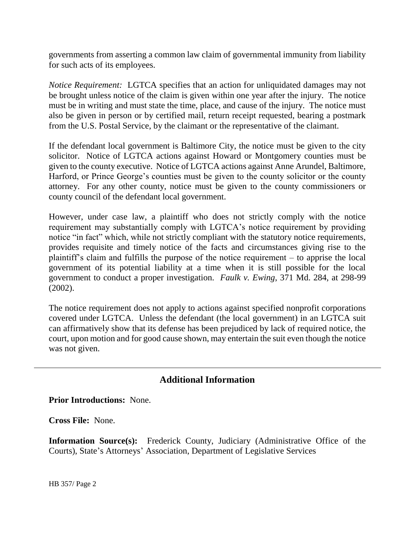governments from asserting a common law claim of governmental immunity from liability for such acts of its employees.

*Notice Requirement:* LGTCA specifies that an action for unliquidated damages may not be brought unless notice of the claim is given within one year after the injury. The notice must be in writing and must state the time, place, and cause of the injury. The notice must also be given in person or by certified mail, return receipt requested, bearing a postmark from the U.S. Postal Service, by the claimant or the representative of the claimant.

If the defendant local government is Baltimore City, the notice must be given to the city solicitor. Notice of LGTCA actions against Howard or Montgomery counties must be given to the county executive. Notice of LGTCA actions against Anne Arundel, Baltimore, Harford, or Prince George's counties must be given to the county solicitor or the county attorney. For any other county, notice must be given to the county commissioners or county council of the defendant local government.

However, under case law, a plaintiff who does not strictly comply with the notice requirement may substantially comply with LGTCA's notice requirement by providing notice "in fact" which, while not strictly compliant with the statutory notice requirements, provides requisite and timely notice of the facts and circumstances giving rise to the plaintiff's claim and fulfills the purpose of the notice requirement – to apprise the local government of its potential liability at a time when it is still possible for the local government to conduct a proper investigation. *Faulk v. Ewing*, 371 Md. 284, at 298-99 (2002).

The notice requirement does not apply to actions against specified nonprofit corporations covered under LGTCA. Unless the defendant (the local government) in an LGTCA suit can affirmatively show that its defense has been prejudiced by lack of required notice, the court, upon motion and for good cause shown, may entertain the suit even though the notice was not given.

# **Additional Information**

**Prior Introductions:** None.

**Cross File:** None.

**Information Source(s):** Frederick County, Judiciary (Administrative Office of the Courts), State's Attorneys' Association, Department of Legislative Services